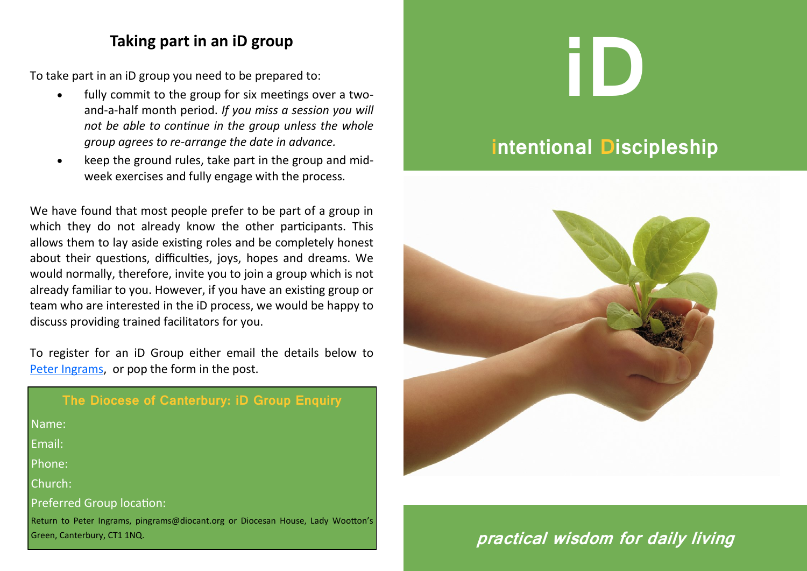### **Taking part in an iD group**

To take part in an iD group you need to be prepared to:

- fully commit to the group for six meetings over a twoand-a-half month period. *If you miss a session you will not be able to continue in the group unless the whole group agrees to re-arrange the date in advance.*
- keep the ground rules, take part in the group and midweek exercises and fully engage with the process.

We have found that most people prefer to be part of a group in which they do not already know the other participants. This allows them to lay aside existing roles and be completely honest about their questions, difficulties, joys, hopes and dreams. We would normally, therefore, invite you to join a group which is not already familiar to you. However, if you have an existing group or team who are interested in the iD process, we would be happy to discuss providing trained facilitators for you.

To register for an iD Group either email the details below to [Peter Ingrams,](mailto:%20pingrams@diocant.org?subject=iD%20) or pop the form in the post.

| The Diocese of Canterbury: iD Group Enquiry                                                                    |
|----------------------------------------------------------------------------------------------------------------|
| Name:                                                                                                          |
| Email:                                                                                                         |
| Phone:                                                                                                         |
| Church:                                                                                                        |
| <b>Preferred Group location:</b>                                                                               |
| Return to Peter Ingrams, pingrams@diocant.org or Diocesan House, Lady Wootton's<br>Green, Canterbury, CT1 1NQ. |

# **iD**

# **intentional Discipleship**



# **practical wisdom for daily living**